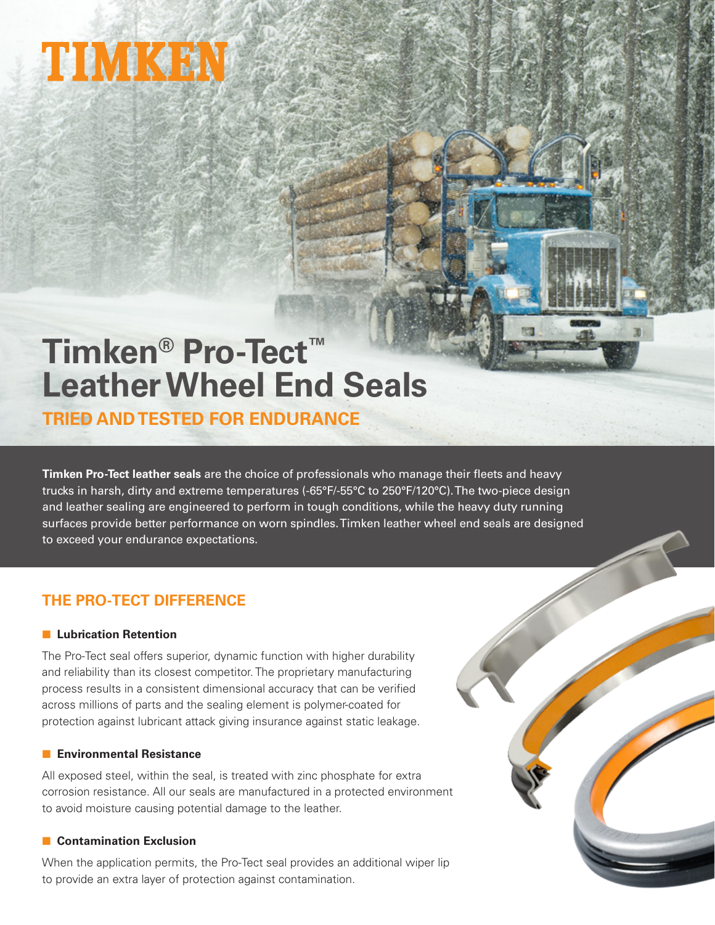# TIMKEN

# **Timken® Pro-Tect™ Leather Wheel End Seals**

**TRIED AND TESTED FOR ENDURANCE**

**Timken Pro-Tect leather seals** are the choice of professionals who manage their fleets and heavy trucks in harsh, dirty and extreme temperatures (-65°F/-55°C to 250°F/120°C). The two-piece design and leather sealing are engineered to perform in tough conditions, while the heavy duty running surfaces provide better performance on worn spindles. Timken leather wheel end seals are designed to exceed your endurance expectations.

# **THE PRO-TECT DIFFERENCE**

#### **E.** Lubrication Retention

The Pro-Tect seal offers superior, dynamic function with higher durability and reliability than its closest competitor. The proprietary manufacturing process results in a consistent dimensional accuracy that can be verified across millions of parts and the sealing element is polymer-coated for protection against lubricant attack giving insurance against static leakage.

#### **Environmental Resistance**

All exposed steel, within the seal, is treated with zinc phosphate for extra corrosion resistance. All our seals are manufactured in a protected environment to avoid moisture causing potential damage to the leather.

#### ■ **Contamination Exclusion**

When the application permits, the Pro-Tect seal provides an additional wiper lip to provide an extra layer of protection against contamination.